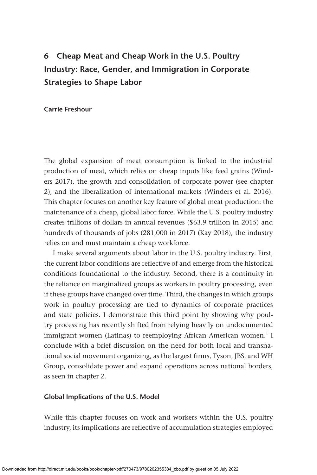# **6 Cheap Meat and Cheap Work in the U.S. Poultry Industry: Race, Gender, and Immigration in Corporate Strategies to Shape Labor**

## **Carrie Freshour**

The global expansion of meat consumption is linked to the industrial production of meat, which relies on cheap inputs like feed grains (Winders 2017), the growth and consolidation of corporate power (see chapter 2), and the liberalization of international markets (Winders et al. 2016). This chapter focuses on another key feature of global meat production: the maintenance of a cheap, global labor force. While the U.S. poultry industry creates trillions of dollars in annual revenues (\$63.9 trillion in 2015) and hundreds of thousands of jobs (281,000 in 2017) (Kay 2018), the industry relies on and must maintain a cheap workforce.

I make several arguments about labor in the U.S. poultry industry. First, the current labor conditions are reflective of and emerge from the historical conditions foundational to the industry. Second, there is a continuity in the reliance on marginalized groups as workers in poultry processing, even if these groups have changed over time. Third, the changes in which groups work in poultry processing are tied to dynamics of corporate practices and state policies. I demonstrate this third point by showing why poultry processing has recently shifted from relying heavily on undocumented immigrant women (Latinas) to reemploying African American women.<sup>1</sup> I conclude with a brief discussion on the need for both local and transnational social movement organizing, as the largest firms, Tyson, JBS, and WH Group, consolidate power and expand operations across national borders, as seen in chapter 2.

#### **Global Implications of the U.S. Model**

While this chapter focuses on work and workers within the U.S. poultry industry, its implications are reflective of accumulation strategies employed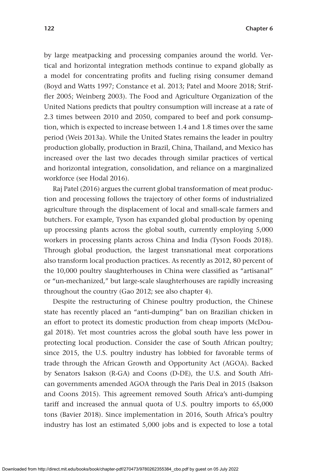by large meatpacking and processing companies around the world. Vertical and horizontal integration methods continue to expand globally as a model for concentrating profits and fueling rising consumer demand (Boyd and Watts 1997; Constance et al. 2013; Patel and Moore 2018; Striffler 2005; Weinberg 2003). The Food and Agriculture Organization of the United Nations predicts that poultry consumption will increase at a rate of 2.3 times between 2010 and 2050, compared to beef and pork consumption, which is expected to increase between 1.4 and 1.8 times over the same period (Weis 2013a). While the United States remains the leader in poultry production globally, production in Brazil, China, Thailand, and Mexico has increased over the last two decades through similar practices of vertical and horizontal integration, consolidation, and reliance on a marginalized workforce (see Hodal 2016).

Raj Patel (2016) argues the current global transformation of meat production and processing follows the trajectory of other forms of industrialized agriculture through the displacement of local and small-scale farmers and butchers. For example, Tyson has expanded global production by opening up processing plants across the global south, currently employing 5,000 workers in processing plants across China and India (Tyson Foods 2018). Through global production, the largest transnational meat corporations also transform local production practices. As recently as 2012, 80 percent of the 10,000 poultry slaughterhouses in China were classified as "artisanal" or "un-mechanized," but large-scale slaughterhouses are rapidly increasing throughout the country (Gao 2012; see also chapter 4).

Despite the restructuring of Chinese poultry production, the Chinese state has recently placed an "anti-dumping" ban on Brazilian chicken in an effort to protect its domestic production from cheap imports (McDougal 2018). Yet most countries across the global south have less power in protecting local production. Consider the case of South African poultry; since 2015, the U.S. poultry industry has lobbied for favorable terms of trade through the African Growth and Opportunity Act (AGOA). Backed by Senators Isakson (R-GA) and Coons (D-DE), the U.S. and South African governments amended AGOA through the Paris Deal in 2015 (Isakson and Coons 2015). This agreement removed South Africa's anti-dumping tariff and increased the annual quota of U.S. poultry imports to 65,000 tons (Bavier 2018). Since implementation in 2016, South Africa's poultry industry has lost an estimated 5,000 jobs and is expected to lose a total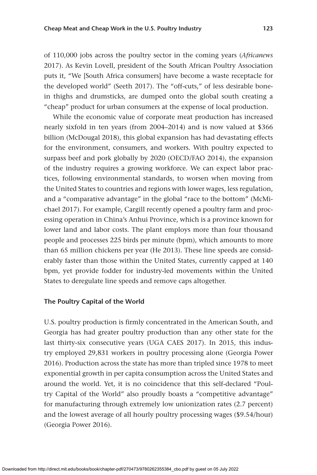of 110,000 jobs across the poultry sector in the coming years (*Africanews* 2017). As Kevin Lovell, president of the South African Poultry Association puts it, "We [South Africa consumers] have become a waste receptacle for the developed world" (Seeth 2017). The "off-cuts," of less desirable bonein thighs and drumsticks, are dumped onto the global south creating a "cheap" product for urban consumers at the expense of local production.

While the economic value of corporate meat production has increased nearly sixfold in ten years (from 2004–2014) and is now valued at \$366 billion (McDougal 2018), this global expansion has had devastating effects for the environment, consumers, and workers. With poultry expected to surpass beef and pork globally by 2020 (OECD/FAO 2014), the expansion of the industry requires a growing workforce. We can expect labor practices, following environmental standards, to worsen when moving from the United States to countries and regions with lower wages, less regulation, and a "comparative advantage" in the global "race to the bottom" (McMichael 2017). For example, Cargill recently opened a poultry farm and processing operation in China's Anhui Province, which is a province known for lower land and labor costs. The plant employs more than four thousand people and processes 225 birds per minute (bpm), which amounts to more than 65 million chickens per year (He 2013). These line speeds are considerably faster than those within the United States, currently capped at 140 bpm, yet provide fodder for industry-led movements within the United States to deregulate line speeds and remove caps altogether.

## **The Poultry Capital of the World**

U.S. poultry production is firmly concentrated in the American South, and Georgia has had greater poultry production than any other state for the last thirty-six consecutive years (UGA CAES 2017). In 2015, this industry employed 29,831 workers in poultry processing alone (Georgia Power 2016). Production across the state has more than tripled since 1978 to meet exponential growth in per capita consumption across the United States and around the world. Yet, it is no coincidence that this self-declared "Poultry Capital of the World" also proudly boasts a "competitive advantage" for manufacturing through extremely low unionization rates (2.7 percent) and the lowest average of all hourly poultry processing wages (\$9.54/hour) (Georgia Power 2016).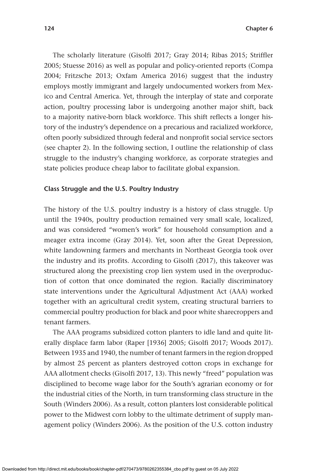The scholarly literature (Gisolfi 2017; Gray 2014; Ribas 2015; Striffler 2005; Stuesse 2016) as well as popular and policy-oriented reports (Compa 2004; Fritzsche 2013; Oxfam America 2016) suggest that the industry employs mostly immigrant and largely undocumented workers from Mexico and Central America. Yet, through the interplay of state and corporate action, poultry processing labor is undergoing another major shift, back to a majority native-born black workforce. This shift reflects a longer history of the industry's dependence on a precarious and racialized workforce, often poorly subsidized through federal and nonprofit social service sectors (see chapter 2). In the following section, I outline the relationship of class struggle to the industry's changing workforce, as corporate strategies and state policies produce cheap labor to facilitate global expansion.

#### **Class Struggle and the U.S. Poultry Industry**

The history of the U.S. poultry industry is a history of class struggle. Up until the 1940s, poultry production remained very small scale, localized, and was considered "women's work" for household consumption and a meager extra income (Gray 2014). Yet, soon after the Great Depression, white landowning farmers and merchants in Northeast Georgia took over the industry and its profits. According to Gisolfi (2017), this takeover was structured along the preexisting crop lien system used in the overproduction of cotton that once dominated the region. Racially discriminatory state interventions under the Agricultural Adjustment Act (AAA) worked together with an agricultural credit system, creating structural barriers to commercial poultry production for black and poor white sharecroppers and tenant farmers.

The AAA programs subsidized cotton planters to idle land and quite literally displace farm labor (Raper [1936] 2005; Gisolfi 2017; Woods 2017). Between 1935 and 1940, the number of tenant farmers in the region dropped by almost 25 percent as planters destroyed cotton crops in exchange for AAA allotment checks (Gisolfi 2017, 13). This newly "freed" population was disciplined to become wage labor for the South's agrarian economy or for the industrial cities of the North, in turn transforming class structure in the South (Winders 2006). As a result, cotton planters lost considerable political power to the Midwest corn lobby to the ultimate detriment of supply management policy (Winders 2006). As the position of the U.S. cotton industry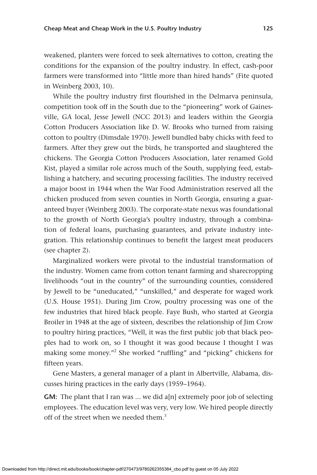weakened, planters were forced to seek alternatives to cotton, creating the conditions for the expansion of the poultry industry. In effect, cash-poor farmers were transformed into "little more than hired hands" (Fite quoted in Weinberg 2003, 10).

While the poultry industry first flourished in the Delmarva peninsula, competition took off in the South due to the "pioneering" work of Gainesville, GA local, Jesse Jewell (NCC 2013) and leaders within the Georgia Cotton Producers Association like D. W. Brooks who turned from raising cotton to poultry (Dimsdale 1970). Jewell bundled baby chicks with feed to farmers. After they grew out the birds, he transported and slaughtered the chickens. The Georgia Cotton Producers Association, later renamed Gold Kist, played a similar role across much of the South, supplying feed, establishing a hatchery, and securing processing facilities. The industry received a major boost in 1944 when the War Food Administration reserved all the chicken produced from seven counties in North Georgia, ensuring a guaranteed buyer (Weinberg 2003). The corporate-state nexus was foundational to the growth of North Georgia's poultry industry, through a combination of federal loans, purchasing guarantees, and private industry integration. This relationship continues to benefit the largest meat producers (see chapter 2).

Marginalized workers were pivotal to the industrial transformation of the industry. Women came from cotton tenant farming and sharecropping livelihoods "out in the country" of the surrounding counties, considered by Jewell to be "uneducated," "unskilled," and desperate for waged work (U.S. House 1951). During Jim Crow, poultry processing was one of the few industries that hired black people. Faye Bush, who started at Georgia Broiler in 1948 at the age of sixteen, describes the relationship of Jim Crow to poultry hiring practices, "Well, it was the first public job that black peoples had to work on, so I thought it was good because I thought I was making some money."2 She worked "ruffling" and "picking" chickens for fifteen years.

Gene Masters, a general manager of a plant in Albertville, Alabama, discusses hiring practices in the early days (1959–1964).

**GM:** The plant that I ran was ... we did a[n] extremely poor job of selecting employees. The education level was very, very low. We hired people directly off of the street when we needed them  $3$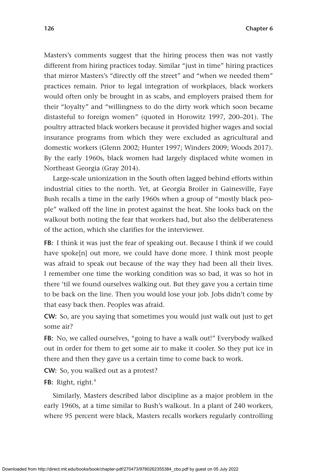Masters's comments suggest that the hiring process then was not vastly different from hiring practices today. Similar "just in time" hiring practices that mirror Masters's "directly off the street" and "when we needed them" practices remain. Prior to legal integration of workplaces, black workers would often only be brought in as scabs, and employers praised them for their "loyalty" and "willingness to do the dirty work which soon became distasteful to foreign women" (quoted in Horowitz 1997, 200–201). The poultry attracted black workers because it provided higher wages and social insurance programs from which they were excluded as agricultural and domestic workers (Glenn 2002; Hunter 1997; Winders 2009; Woods 2017). By the early 1960s, black women had largely displaced white women in Northeast Georgia (Gray 2014).

Large-scale unionization in the South often lagged behind efforts within industrial cities to the north. Yet, at Georgia Broiler in Gainesville, Faye Bush recalls a time in the early 1960s when a group of "mostly black people" walked off the line in protest against the heat. She looks back on the walkout both noting the fear that workers had, but also the deliberateness of the action, which she clarifies for the interviewer.

**FB:** I think it was just the fear of speaking out. Because I think if we could have spoke[n] out more, we could have done more. I think most people was afraid to speak out because of the way they had been all their lives. I remember one time the working condition was so bad, it was so hot in there 'til we found ourselves walking out. But they gave you a certain time to be back on the line. Then you would lose your job. Jobs didn't come by that easy back then. Peoples was afraid.

**CW:** So, are you saying that sometimes you would just walk out just to get some air?

FB: No, we called ourselves, "going to have a walk out!" Everybody walked out in order for them to get some air to make it cooler. So they put ice in there and then they gave us a certain time to come back to work.

**CW:** So, you walked out as a protest?

**FB:** Right, right.<sup>4</sup>

Similarly, Masters described labor discipline as a major problem in the early 1960s, at a time similar to Bush's walkout. In a plant of 240 workers, where 95 percent were black, Masters recalls workers regularly controlling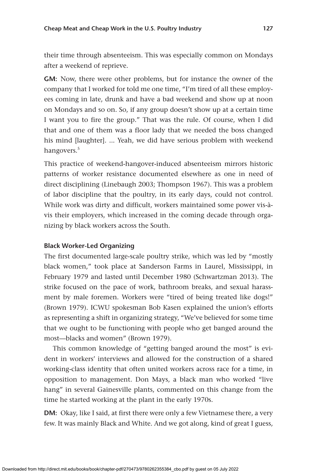their time through absenteeism. This was especially common on Mondays after a weekend of reprieve.

**GM:** Now, there were other problems, but for instance the owner of the company that I worked for told me one time, "I'm tired of all these employees coming in late, drunk and have a bad weekend and show up at noon on Mondays and so on. So, if any group doesn't show up at a certain time I want you to fire the group." That was the rule. Of course, when I did that and one of them was a floor lady that we needed the boss changed his mind [laughter]. ... Yeah, we did have serious problem with weekend hangovers.<sup>5</sup>

This practice of weekend-hangover-induced absenteeism mirrors historic patterns of worker resistance documented elsewhere as one in need of direct disciplining (Linebaugh 2003; Thompson 1967). This was a problem of labor discipline that the poultry, in its early days, could not control. While work was dirty and difficult, workers maintained some power vis-àvis their employers, which increased in the coming decade through organizing by black workers across the South.

## **Black Worker-Led Organizing**

The first documented large-scale poultry strike, which was led by "mostly black women," took place at Sanderson Farms in Laurel, Mississippi, in February 1979 and lasted until December 1980 (Schwartzman 2013). The strike focused on the pace of work, bathroom breaks, and sexual harassment by male foremen. Workers were "tired of being treated like dogs!" (Brown 1979). ICWU spokesman Bob Kasen explained the union's efforts as representing a shift in organizing strategy, "We've believed for some time that we ought to be functioning with people who get banged around the most—blacks and women" (Brown 1979).

This common knowledge of "getting banged around the most" is evident in workers' interviews and allowed for the construction of a shared working-class identity that often united workers across race for a time, in opposition to management. Don Mays, a black man who worked "live hang" in several Gainesville plants, commented on this change from the time he started working at the plant in the early 1970s.

**DM:** Okay, like I said, at first there were only a few Vietnamese there, a very few. It was mainly Black and White. And we got along, kind of great I guess,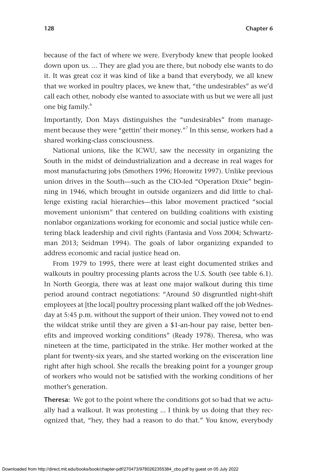because of the fact of where we were. Everybody knew that people looked down upon us. ... They are glad you are there, but nobody else wants to do it. It was great coz it was kind of like a band that everybody, we all knew that we worked in poultry places, we knew that, "the undesirables" as we'd call each other, nobody else wanted to associate with us but we were all just one big family.6

Importantly, Don Mays distinguishes the "undesirables" from management because they were "gettin' their money."<sup>7</sup> In this sense, workers had a shared working-class consciousness.

National unions, like the ICWU, saw the necessity in organizing the South in the midst of deindustrialization and a decrease in real wages for most manufacturing jobs (Smothers 1996; Horowitz 1997). Unlike previous union drives in the South—such as the CIO-led "Operation Dixie" beginning in 1946, which brought in outside organizers and did little to challenge existing racial hierarchies—this labor movement practiced "social movement unionism" that centered on building coalitions with existing nonlabor organizations working for economic and social justice while centering black leadership and civil rights (Fantasia and Voss 2004; Schwartzman 2013; Seidman 1994). The goals of labor organizing expanded to address economic and racial justice head on.

From 1979 to 1995, there were at least eight documented strikes and walkouts in poultry processing plants across the U.S. South (see table 6.1). In North Georgia, there was at least one major walkout during this time period around contract negotiations: "Around 50 disgruntled night-shift employees at [the local] poultry processing plant walked off the job Wednesday at 5:45 p.m. without the support of their union. They vowed not to end the wildcat strike until they are given a \$1-an-hour pay raise, better benefits and improved working conditions" (Ready 1978). Theresa, who was nineteen at the time, participated in the strike. Her mother worked at the plant for twenty-six years, and she started working on the evisceration line right after high school. She recalls the breaking point for a younger group of workers who would not be satisfied with the working conditions of her mother's generation.

**Theresa:** We got to the point where the conditions got so bad that we actually had a walkout. It was protesting ... I think by us doing that they recognized that, "hey, they had a reason to do that." You know, everybody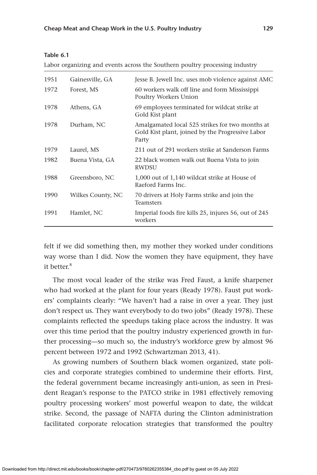| an<br>ı<br>Ð<br>c |  |
|-------------------|--|
|-------------------|--|

Labor organizing and events across the Southern poultry processing industry

| 1951 | Gainesville, GA   | Jesse B. Jewell Inc. uses mob violence against AMC                                                           |
|------|-------------------|--------------------------------------------------------------------------------------------------------------|
| 1972 | Forest, MS        | 60 workers walk off line and form Mississippi<br>Poultry Workers Union                                       |
| 1978 | Athens, GA        | 69 employees terminated for wildcat strike at<br>Gold Kist plant                                             |
| 1978 | Durham, NC        | Amalgamated local 525 strikes for two months at<br>Gold Kist plant, joined by the Progressive Labor<br>Party |
| 1979 | Laurel, MS        | 211 out of 291 workers strike at Sanderson Farms                                                             |
| 1982 | Buena Vista, GA   | 22 black women walk out Buena Vista to join<br>RWDSU                                                         |
| 1988 | Greensboro, NC    | 1,000 out of 1,140 wildcat strike at House of<br>Raeford Farms Inc.                                          |
| 1990 | Wilkes County, NC | 70 drivers at Holy Farms strike and join the<br>Teamsters                                                    |
| 1991 | Hamlet, NC        | Imperial foods fire kills 25, injures 56, out of 245<br>workers                                              |

felt if we did something then, my mother they worked under conditions way worse than I did. Now the women they have equipment, they have it better $8$ 

The most vocal leader of the strike was Fred Faust, a knife sharpener who had worked at the plant for four years (Ready 1978). Faust put workers' complaints clearly: "We haven't had a raise in over a year. They just don't respect us. They want everybody to do two jobs" (Ready 1978). These complaints reflected the speedups taking place across the industry. It was over this time period that the poultry industry experienced growth in further processing—so much so, the industry's workforce grew by almost 96 percent between 1972 and 1992 (Schwartzman 2013, 41).

As growing numbers of Southern black women organized, state policies and corporate strategies combined to undermine their efforts. First, the federal government became increasingly anti-union, as seen in President Reagan's response to the PATCO strike in 1981 effectively removing poultry processing workers' most powerful weapon to date, the wildcat strike. Second, the passage of NAFTA during the Clinton administration facilitated corporate relocation strategies that transformed the poultry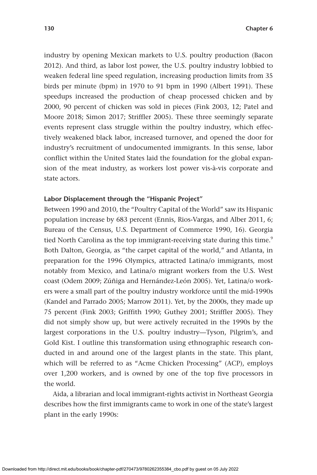industry by opening Mexican markets to U.S. poultry production (Bacon 2012). And third, as labor lost power, the U.S. poultry industry lobbied to weaken federal line speed regulation, increasing production limits from 35 birds per minute (bpm) in 1970 to 91 bpm in 1990 (Albert 1991). These speedups increased the production of cheap processed chicken and by 2000, 90 percent of chicken was sold in pieces (Fink 2003, 12; Patel and Moore 2018; Simon 2017; Striffler 2005). These three seemingly separate events represent class struggle within the poultry industry, which effectively weakened black labor, increased turnover, and opened the door for industry's recruitment of undocumented immigrants. In this sense, labor conflict within the United States laid the foundation for the global expansion of the meat industry, as workers lost power vis-à-vis corporate and state actors.

### **Labor Displacement through the "Hispanic Project"**

Between 1990 and 2010, the "Poultry Capital of the World" saw its Hispanic population increase by 683 percent (Ennis, Rios-Vargas, and Alber 2011, 6; Bureau of the Census, U.S. Department of Commerce 1990, 16). Georgia tied North Carolina as the top immigrant-receiving state during this time.<sup>9</sup> Both Dalton, Georgia, as "the carpet capital of the world," and Atlanta, in preparation for the 1996 Olympics, attracted Latina/o immigrants, most notably from Mexico, and Latina/o migrant workers from the U.S. West coast (Odem 2009; Zúñiga and Hernández-León 2005). Yet, Latina/o workers were a small part of the poultry industry workforce until the mid-1990s (Kandel and Parrado 2005; Marrow 2011). Yet, by the 2000s, they made up 75 percent (Fink 2003; Griffith 1990; Guthey 2001; Striffler 2005). They did not simply show up, but were actively recruited in the 1990s by the largest corporations in the U.S. poultry industry—Tyson, Pilgrim's, and Gold Kist. I outline this transformation using ethnographic research conducted in and around one of the largest plants in the state. This plant, which will be referred to as "Acme Chicken Processing" (ACP), employs over 1,200 workers, and is owned by one of the top five processors in the world.

Aida, a librarian and local immigrant-rights activist in Northeast Georgia describes how the first immigrants came to work in one of the state's largest plant in the early 1990s: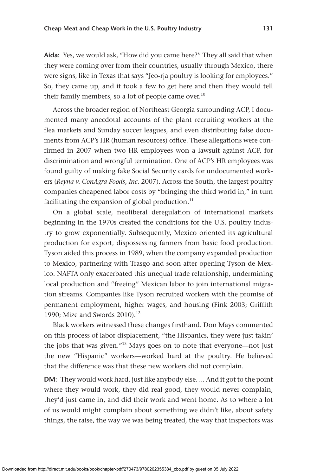**Aida:** Yes, we would ask, "How did you came here?" They all said that when they were coming over from their countries, usually through Mexico, there were signs, like in Texas that says "Jeo-rja poultry is looking for employees." So, they came up, and it took a few to get here and then they would tell their family members, so a lot of people came over.<sup>10</sup>

Across the broader region of Northeast Georgia surrounding ACP, I documented many anecdotal accounts of the plant recruiting workers at the flea markets and Sunday soccer leagues, and even distributing false documents from ACP's HR (human resources) office. These allegations were confirmed in 2007 when two HR employees won a lawsuit against ACP, for discrimination and wrongful termination. One of ACP's HR employees was found guilty of making fake Social Security cards for undocumented workers (*Reyna v. ConAgra Foods, Inc.* 2007). Across the South, the largest poultry companies cheapened labor costs by "bringing the third world in," in turn facilitating the expansion of global production. $^{11}$ 

On a global scale, neoliberal deregulation of international markets beginning in the 1970s created the conditions for the U.S. poultry industry to grow exponentially. Subsequently, Mexico oriented its agricultural production for export, dispossessing farmers from basic food production. Tyson aided this process in 1989, when the company expanded production to Mexico, partnering with Trasgo and soon after opening Tyson de Mexico. NAFTA only exacerbated this unequal trade relationship, undermining local production and "freeing" Mexican labor to join international migration streams. Companies like Tyson recruited workers with the promise of permanent employment, higher wages, and housing (Fink 2003; Griffith 1990; Mize and Swords 2010).<sup>12</sup>

Black workers witnessed these changes firsthand. Don Mays commented on this process of labor displacement, "the Hispanics, they were just takin' the jobs that was given."<sup>13</sup> Mays goes on to note that everyone—not just the new "Hispanic" workers—worked hard at the poultry. He believed that the difference was that these new workers did not complain.

**DM:** They would work hard, just like anybody else. ... And it got to the point where they would work, they did real good, they would never complain, they'd just came in, and did their work and went home. As to where a lot of us would might complain about something we didn't like, about safety things, the raise, the way we was being treated, the way that inspectors was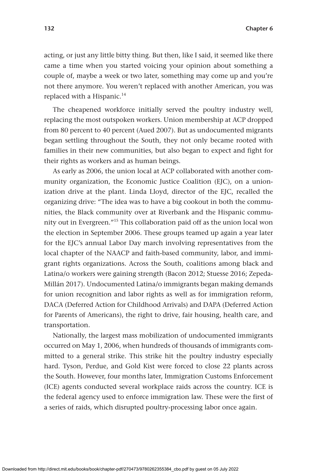acting, or just any little bitty thing. But then, like I said, it seemed like there came a time when you started voicing your opinion about something a couple of, maybe a week or two later, something may come up and you're not there anymore. You weren't replaced with another American, you was replaced with a Hispanic.<sup>14</sup>

The cheapened workforce initially served the poultry industry well, replacing the most outspoken workers. Union membership at ACP dropped from 80 percent to 40 percent (Aued 2007). But as undocumented migrants began settling throughout the South, they not only became rooted with families in their new communities, but also began to expect and fight for their rights as workers and as human beings.

As early as 2006, the union local at ACP collaborated with another community organization, the Economic Justice Coalition (EJC), on a unionization drive at the plant. Linda Lloyd, director of the EJC, recalled the organizing drive: "The idea was to have a big cookout in both the communities, the Black community over at Riverbank and the Hispanic community out in Evergreen."15 This collaboration paid off as the union local won the election in September 2006. These groups teamed up again a year later for the EJC's annual Labor Day march involving representatives from the local chapter of the NAACP and faith-based community, labor, and immigrant rights organizations. Across the South, coalitions among black and Latina/o workers were gaining strength (Bacon 2012; Stuesse 2016; Zepeda-Millán 2017). Undocumented Latina/o immigrants began making demands for union recognition and labor rights as well as for immigration reform, DACA (Deferred Action for Childhood Arrivals) and DAPA (Deferred Action for Parents of Americans), the right to drive, fair housing, health care, and transportation.

Nationally, the largest mass mobilization of undocumented immigrants occurred on May 1, 2006, when hundreds of thousands of immigrants committed to a general strike. This strike hit the poultry industry especially hard. Tyson, Perdue, and Gold Kist were forced to close 22 plants across the South. However, four months later, Immigration Customs Enforcement (ICE) agents conducted several workplace raids across the country. ICE is the federal agency used to enforce immigration law. These were the first of a series of raids, which disrupted poultry-processing labor once again.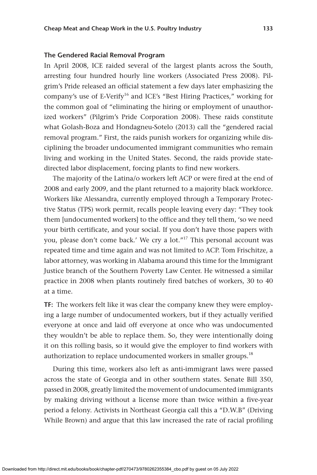## **The Gendered Racial Removal Program**

In April 2008, ICE raided several of the largest plants across the South, arresting four hundred hourly line workers (Associated Press 2008). Pilgrim's Pride released an official statement a few days later emphasizing the company's use of E-Verify<sup>16</sup> and ICE's "Best Hiring Practices," working for the common goal of "eliminating the hiring or employment of unauthorized workers" (Pilgrim's Pride Corporation 2008). These raids constitute what Golash-Boza and Hondagneu-Sotelo (2013) call the "gendered racial removal program." First, the raids punish workers for organizing while disciplining the broader undocumented immigrant communities who remain living and working in the United States. Second, the raids provide statedirected labor displacement, forcing plants to find new workers.

The majority of the Latina/o workers left ACP or were fired at the end of 2008 and early 2009, and the plant returned to a majority black workforce. Workers like Alessandra, currently employed through a Temporary Protective Status (TPS) work permit, recalls people leaving every day: "They took them [undocumented workers] to the office and they tell them, 'so we need your birth certificate, and your social. If you don't have those papers with you, please don't come back.' We cry a lot."17 This personal account was repeated time and time again and was not limited to ACP. Tom Frischitze, a labor attorney, was working in Alabama around this time for the Immigrant Justice branch of the Southern Poverty Law Center. He witnessed a similar practice in 2008 when plants routinely fired batches of workers, 30 to 40 at a time.

**TF:** The workers felt like it was clear the company knew they were employing a large number of undocumented workers, but if they actually verified everyone at once and laid off everyone at once who was undocumented they wouldn't be able to replace them. So, they were intentionally doing it on this rolling basis, so it would give the employer to find workers with authorization to replace undocumented workers in smaller groups.<sup>18</sup>

During this time, workers also left as anti-immigrant laws were passed across the state of Georgia and in other southern states. Senate Bill 350, passed in 2008, greatly limited the movement of undocumented immigrants by making driving without a license more than twice within a five-year period a felony. Activists in Northeast Georgia call this a "D.W.B" (Driving While Brown) and argue that this law increased the rate of racial profiling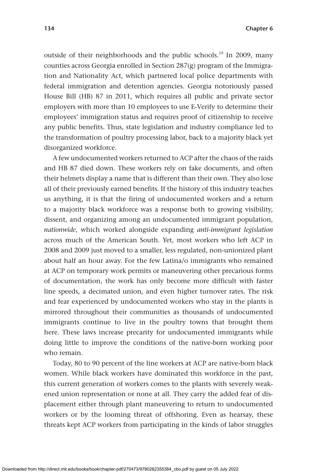outside of their neighborhoods and the public schools.<sup>19</sup> In 2009, many counties across Georgia enrolled in Section 287(g) program of the Immigration and Nationality Act, which partnered local police departments with federal immigration and detention agencies. Georgia notoriously passed House Bill (HB) 87 in 2011, which requires all public and private sector employers with more than 10 employees to use E-Verify to determine their employees' immigration status and requires proof of citizenship to receive any public benefits. Thus, state legislation and industry compliance led to the transformation of poultry processing labor, back to a majority black yet disorganized workforce.

A few undocumented workers returned to ACP after the chaos of the raids and HB 87 died down. These workers rely on fake documents, and often their helmets display a name that is different than their own. They also lose all of their previously earned benefits. If the history of this industry teaches us anything, it is that the firing of undocumented workers and a return to a majority black workforce was a response both to growing visibility, dissent, and organizing among an undocumented immigrant population, *nationwide*, which worked alongside expanding *anti-immigrant legislation* across much of the American South. Yet, most workers who left ACP in 2008 and 2009 just moved to a smaller, less regulated, non-unionized plant about half an hour away. For the few Latina/o immigrants who remained at ACP on temporary work permits or maneuvering other precarious forms of documentation, the work has only become more difficult with faster line speeds, a decimated union, and even higher turnover rates. The risk and fear experienced by undocumented workers who stay in the plants is mirrored throughout their communities as thousands of undocumented immigrants continue to live in the poultry towns that brought them here. These laws increase precarity for undocumented immigrants while doing little to improve the conditions of the native-born working poor who remain.

Today, 80 to 90 percent of the line workers at ACP are native-born black women. While black workers have dominated this workforce in the past, this current generation of workers comes to the plants with severely weakened union representation or none at all. They carry the added fear of displacement either through plant maneuvering to return to undocumented workers or by the looming threat of offshoring. Even as hearsay, these threats kept ACP workers from participating in the kinds of labor struggles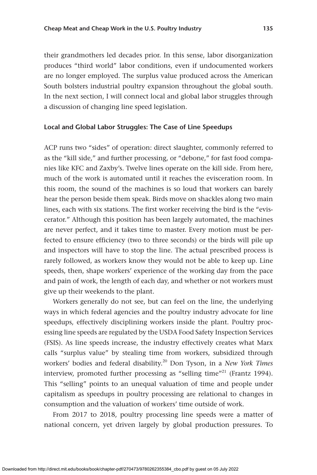their grandmothers led decades prior. In this sense, labor disorganization produces "third world" labor conditions, even if undocumented workers are no longer employed. The surplus value produced across the American South bolsters industrial poultry expansion throughout the global south. In the next section, I will connect local and global labor struggles through a discussion of changing line speed legislation.

#### **Local and Global Labor Struggles: The Case of Line Speedups**

ACP runs two "sides" of operation: direct slaughter, commonly referred to as the "kill side," and further processing, or "debone," for fast food companies like KFC and Zaxby's. Twelve lines operate on the kill side. From here, much of the work is automated until it reaches the evisceration room. In this room, the sound of the machines is so loud that workers can barely hear the person beside them speak. Birds move on shackles along two main lines, each with six stations. The first worker receiving the bird is the "eviscerator." Although this position has been largely automated, the machines are never perfect, and it takes time to master. Every motion must be perfected to ensure efficiency (two to three seconds) or the birds will pile up and inspectors will have to stop the line. The actual prescribed process is rarely followed, as workers know they would not be able to keep up. Line speeds, then, shape workers' experience of the working day from the pace and pain of work, the length of each day, and whether or not workers must give up their weekends to the plant.

Workers generally do not see, but can feel on the line, the underlying ways in which federal agencies and the poultry industry advocate for line speedups, effectively disciplining workers inside the plant. Poultry processing line speeds are regulated by the USDA Food Safety Inspection Services (FSIS). As line speeds increase, the industry effectively creates what Marx calls "surplus value" by stealing time from workers, subsidized through workers' bodies and federal disability.20 Don Tyson, in a *New York Times* interview, promoted further processing as "selling time"<sup>21</sup> (Frantz 1994). This "selling" points to an unequal valuation of time and people under capitalism as speedups in poultry processing are relational to changes in consumption and the valuation of workers' time outside of work.

From 2017 to 2018, poultry processing line speeds were a matter of national concern, yet driven largely by global production pressures. To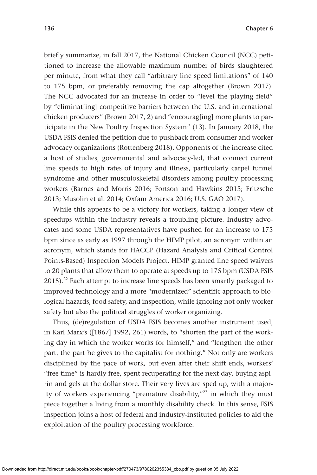briefly summarize, in fall 2017, the National Chicken Council (NCC) petitioned to increase the allowable maximum number of birds slaughtered per minute, from what they call "arbitrary line speed limitations" of 140 to 175 bpm, or preferably removing the cap altogether (Brown 2017). The NCC advocated for an increase in order to "level the playing field" by "eliminat[ing] competitive barriers between the U.S. and international chicken producers" (Brown 2017, 2) and "encourag[ing] more plants to participate in the New Poultry Inspection System" (13). In January 2018, the USDA FSIS denied the petition due to pushback from consumer and worker advocacy organizations (Rottenberg 2018). Opponents of the increase cited a host of studies, governmental and advocacy-led, that connect current line speeds to high rates of injury and illness, particularly carpel tunnel syndrome and other musculoskeletal disorders among poultry processing workers (Barnes and Morris 2016; Fortson and Hawkins 2015; Fritzsche 2013; Musolin et al. 2014; Oxfam America 2016; U.S. GAO 2017).

While this appears to be a victory for workers, taking a longer view of speedups within the industry reveals a troubling picture. Industry advocates and some USDA representatives have pushed for an increase to 175 bpm since as early as 1997 through the HIMP pilot, an acronym within an acronym, which stands for HACCP (Hazard Analysis and Critical Control Points-Based) Inspection Models Project. HIMP granted line speed waivers to 20 plants that allow them to operate at speeds up to 175 bpm (USDA FSIS  $2015$ ).<sup>22</sup> Each attempt to increase line speeds has been smartly packaged to improved technology and a more "modernized" scientific approach to biological hazards, food safety, and inspection, while ignoring not only worker safety but also the political struggles of worker organizing.

Thus, (de)regulation of USDA FSIS becomes another instrument used, in Karl Marx's ([1867] 1992, 261) words, to "shorten the part of the working day in which the worker works for himself," and "lengthen the other part, the part he gives to the capitalist for nothing." Not only are workers disciplined by the pace of work, but even after their shift ends, workers' "free time" is hardly free, spent recuperating for the next day, buying aspirin and gels at the dollar store. Their very lives are sped up, with a majority of workers experiencing "premature disability, $123$  in which they must piece together a living from a monthly disability check. In this sense, FSIS inspection joins a host of federal and industry-instituted policies to aid the exploitation of the poultry processing workforce.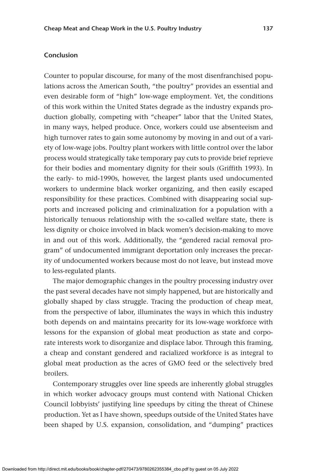# **Conclusion**

Counter to popular discourse, for many of the most disenfranchised populations across the American South, "the poultry" provides an essential and even desirable form of "high" low-wage employment. Yet, the conditions of this work within the United States degrade as the industry expands production globally, competing with "cheaper" labor that the United States, in many ways, helped produce. Once, workers could use absenteeism and high turnover rates to gain some autonomy by moving in and out of a variety of low-wage jobs. Poultry plant workers with little control over the labor process would strategically take temporary pay cuts to provide brief reprieve for their bodies and momentary dignity for their souls (Griffith 1993). In the early- to mid-1990s, however, the largest plants used undocumented workers to undermine black worker organizing, and then easily escaped responsibility for these practices. Combined with disappearing social supports and increased policing and criminalization for a population with a historically tenuous relationship with the so-called welfare state, there is less dignity or choice involved in black women's decision-making to move in and out of this work. Additionally, the "gendered racial removal program" of undocumented immigrant deportation only increases the precarity of undocumented workers because most do not leave, but instead move to less-regulated plants.

The major demographic changes in the poultry processing industry over the past several decades have not simply happened, but are historically and globally shaped by class struggle. Tracing the production of cheap meat, from the perspective of labor, illuminates the ways in which this industry both depends on and maintains precarity for its low-wage workforce with lessons for the expansion of global meat production as state and corporate interests work to disorganize and displace labor. Through this framing, a cheap and constant gendered and racialized workforce is as integral to global meat production as the acres of GMO feed or the selectively bred broilers.

Contemporary struggles over line speeds are inherently global struggles in which worker advocacy groups must contend with National Chicken Council lobbyists' justifying line speedups by citing the threat of Chinese production. Yet as I have shown, speedups outside of the United States have been shaped by U.S. expansion, consolidation, and "dumping" practices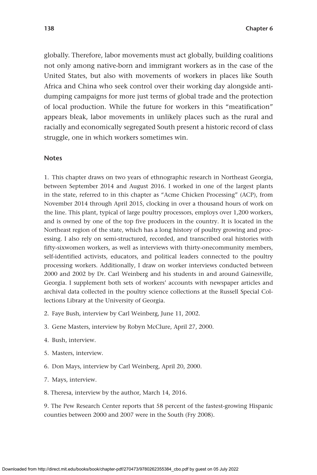globally. Therefore, labor movements must act globally, building coalitions not only among native-born and immigrant workers as in the case of the United States, but also with movements of workers in places like South Africa and China who seek control over their working day alongside antidumping campaigns for more just terms of global trade and the protection of local production. While the future for workers in this "meatification" appears bleak, labor movements in unlikely places such as the rural and racially and economically segregated South present a historic record of class struggle, one in which workers sometimes win.

#### **Notes**

1. This chapter draws on two years of ethnographic research in Northeast Georgia, between September 2014 and August 2016. I worked in one of the largest plants in the state, referred to in this chapter as "Acme Chicken Processing" (ACP), from November 2014 through April 2015, clocking in over a thousand hours of work on the line. This plant, typical of large poultry processors, employs over 1,200 workers, and is owned by one of the top five producers in the country. It is located in the Northeast region of the state, which has a long history of poultry growing and processing. I also rely on semi-structured, recorded, and transcribed oral histories with fifty-sixwomen workers, as well as interviews with thirty-onecommunity members, self-identified activists, educators, and political leaders connected to the poultry processing workers. Additionally, I draw on worker interviews conducted between 2000 and 2002 by Dr. Carl Weinberg and his students in and around Gainesville, Georgia. I supplement both sets of workers' accounts with newspaper articles and archival data collected in the poultry science collections at the Russell Special Collections Library at the University of Georgia.

- 2. Faye Bush, interview by Carl Weinberg, June 11, 2002.
- 3. Gene Masters, interview by Robyn McClure, April 27, 2000.
- 4. Bush, interview.
- 5. Masters, interview.
- 6. Don Mays, interview by Carl Weinberg, April 20, 2000.
- 7. Mays, interview.
- 8. Theresa, interview by the author, March 14, 2016.

9. The Pew Research Center reports that 58 percent of the fastest-growing Hispanic counties between 2000 and 2007 were in the South (Fry 2008).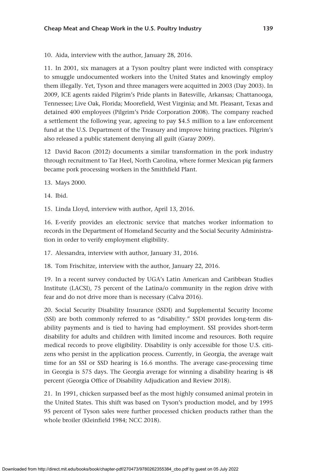10. Aida, interview with the author, January 28, 2016.

11. In 2001, six managers at a Tyson poultry plant were indicted with conspiracy to smuggle undocumented workers into the United States and knowingly employ them illegally. Yet, Tyson and three managers were acquitted in 2003 (Day 2003). In 2009, ICE agents raided Pilgrim's Pride plants in Batesville, Arkansas; Chattanooga, Tennessee; Live Oak, Florida; Moorefield, West Virginia; and Mt. Pleasant, Texas and detained 400 employees (Pilgrim's Pride Corporation 2008). The company reached a settlement the following year, agreeing to pay \$4.5 million to a law enforcement fund at the U.S. Department of the Treasury and improve hiring practices. Pilgrim's also released a public statement denying all guilt (Garay 2009).

12 David Bacon (2012) documents a similar transformation in the pork industry through recruitment to Tar Heel, North Carolina, where former Mexican pig farmers became pork processing workers in the Smithfield Plant.

13. Mays 2000.

14. Ibid.

15. Linda Lloyd, interview with author, April 13, 2016.

16. E-verify provides an electronic service that matches worker information to records in the Department of Homeland Security and the Social Security Administration in order to verify employment eligibility.

17. Alessandra, interview with author, January 31, 2016.

18. Tom Frischitze, interview with the author, January 22, 2016.

19. In a recent survey conducted by UGA's Latin American and Caribbean Studies Institute (LACSI), 75 percent of the Latina/o community in the region drive with fear and do not drive more than is necessary (Calva 2016).

20. Social Security Disability Insurance (SSDI) and Supplemental Security Income (SSI) are both commonly referred to as "disability." SSDI provides long-term disability payments and is tied to having had employment. SSI provides short-term disability for adults and children with limited income and resources. Both require medical records to prove eligibility. Disability is only accessible for those U.S. citizens who persist in the application process. Currently, in Georgia, the average wait time for an SSI or SSD hearing is 16.6 months. The average case-processing time in Georgia is 575 days. The Georgia average for winning a disability hearing is 48 percent (Georgia Office of Disability Adjudication and Review 2018).

21. In 1991, chicken surpassed beef as the most highly consumed animal protein in the United States. This shift was based on Tyson's production model, and by 1995 95 percent of Tyson sales were further processed chicken products rather than the whole broiler (Kleinfield 1984; NCC 2018).